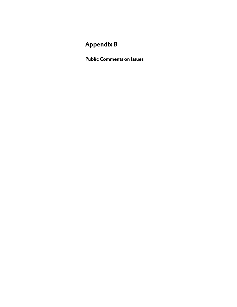# Appendix B

Public Comments on Issues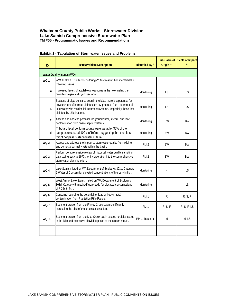| ID           | <b>Issue/Problem Description</b>                                                                                                                                                                                                                   | Identified By <sup>(1)</sup> | Sub-Basin of<br>Origin <sup>(1)</sup> | <b>Scale of Impact</b><br>(1) |
|--------------|----------------------------------------------------------------------------------------------------------------------------------------------------------------------------------------------------------------------------------------------------|------------------------------|---------------------------------------|-------------------------------|
|              | Water Quality Issues (WQ)                                                                                                                                                                                                                          |                              |                                       |                               |
| $WO-1$       | WWU Lake & Tributary Monitoring (2005-present) has identified the<br>following issues                                                                                                                                                              |                              |                                       |                               |
| a            | Increased levels of available phosphorus in the lake fueling the<br>growth of algae and cyanobacteria.                                                                                                                                             | Monitoring                   | <b>LS</b>                             | LS.                           |
| h            | Because of algal densities seen in the lake, there is a potential for<br>development of harmful disinfection by-products from treatment of<br>lake water with residential treatment systems, (especially those that<br>disinfect by chlorination). | Monitoring                   | LS                                    | LS                            |
| $\mathsf{C}$ | Assess and address potential for groundwater, stream, and lake<br>contamination from onsite septic systems.                                                                                                                                        | Monitoring                   | <b>BW</b>                             | <b>BW</b>                     |
| d            | Tributary fecal coliform counts were variable; 36% of the<br>samples exceeded 100 cfu/100ml, suggesting that the sites<br>might not pass surface water criteria.                                                                                   | Monitoring                   | <b>BW</b>                             | <b>BW</b>                     |
| $WO-2$       | Assess and address the impact to stormwater quality from wildlife<br>and domestic animal waste within the basin.                                                                                                                                   | <b>PM-2</b>                  | <b>BW</b>                             | <b>BW</b>                     |
| $WO-3$       | Perform comprehensive review of historical water quality sampling<br>data dating back to 1970s for incorporation into the comprehensive<br>stormwater planning effort.                                                                             | $PM-2$                       | <b>BW</b>                             | BW                            |
| $WO-4$       | Lake Samish listed on WA Department of Ecology's 303d, Category<br>2 Water of Concern for elevated concentrations of Mercury in fish.                                                                                                              | Monitoring                   |                                       | LS                            |
| $WO-5$       | West Arm of Lake Samish listed on WA Department of Ecology's<br>303d, Category 5 Impaired Waterbody for elevated concentrations<br>of PCBs in fish.                                                                                                | Monitoring                   |                                       | LS                            |
| $WO-6$       | Concerns regarding the potential for lead or heavy metal<br>contamination from Plantation Rifle Range.                                                                                                                                             | <b>PM-1</b>                  | R                                     | R, S, F                       |
| $WO-7$       | Sediment erosion from the Finney Creek basin significantly<br>increasing the size of the creek's alluvial fan.                                                                                                                                     | <b>PM-1</b>                  | R, S, F                               | R, S, F, LS                   |
| WQ -8        | Sediment erosion from the Mud Creek basin causes turbidity issues<br>in the lake and excessive alluvial deposits at the stream mouth.                                                                                                              | PM-1, Research               | M                                     | M, LS                         |
|              |                                                                                                                                                                                                                                                    |                              |                                       |                               |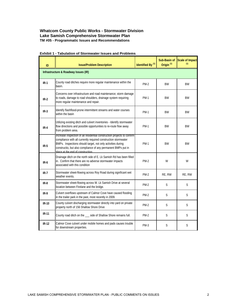| ID           | <b>Issue/Problem Description</b>                                                                                                                                                                                                                                                                               | Identified By <sup>(1)</sup> | Sub-Basin of<br>Origin <sup>(1)</sup> | <b>Scale of Impact</b><br>(1) |  |
|--------------|----------------------------------------------------------------------------------------------------------------------------------------------------------------------------------------------------------------------------------------------------------------------------------------------------------------|------------------------------|---------------------------------------|-------------------------------|--|
|              | Infrastructure & Roadway Issues (IR)                                                                                                                                                                                                                                                                           |                              |                                       |                               |  |
| $IR-1$       | County road ditches require more regular maintenance within the<br>basin.                                                                                                                                                                                                                                      | <b>PM-2</b>                  | <b>BW</b>                             | <b>BW</b>                     |  |
| $IR-2$       | Concerns over infrastructure and road maintenance; storm damage<br>to roads, damage to road shoulders, drainage system requiring<br>more regular maintenance and repair.                                                                                                                                       | <b>PM-1</b>                  | <b>BW</b>                             | <b>BW</b>                     |  |
| $IR-3$       | Identify flashflood-prone intermittent streams and water courses<br>within the basin                                                                                                                                                                                                                           | <b>PM-1</b>                  | <b>BW</b>                             | ВW                            |  |
| $IR-4$       | Utilizing existing ditch and culvert inventories - Identify stormwater<br>flow directions and possible opportunities to re-route flow away<br>from problem area.                                                                                                                                               | <b>PM-1</b>                  | <b>BW</b>                             | <b>BW</b>                     |  |
| $IR-5$       | Increase inspection of all residential construction projects to contirm<br>compliance with all currently required construction stormwater<br>BMPs. Inspections should target, not only activities during<br>constructio, but also compliance of any permanent BMPs put in<br>place at the end of construction. | <b>PM-1</b>                  | <b>BW</b>                             | <b>BW</b>                     |  |
| $IR-6$       | Drainage ditch on the north side of E. Lk Samish Rd has been filled<br>in. Confirm that there are no adverse stormwater impacts<br>associated with this condition                                                                                                                                              | <b>PM-2</b>                  | W                                     | W                             |  |
| $IR-7$       | Stormwater sheet-flowing across Roy Road during significant wet<br>weather events.                                                                                                                                                                                                                             | $PM-2$                       | RE, RW                                | RE, RW                        |  |
| $IR-8$       | Stormwater sheet-flowing across W. Lk Samish Drive at several<br>location between Firelane and the bridge.                                                                                                                                                                                                     | $PM-2$                       | S                                     | S                             |  |
| $IR-9$       | Culvert overflows upstream of Calmor Cove have caused flooding<br>in the trailer park in the past, most recently in 2009.                                                                                                                                                                                      | <b>PM-2</b>                  | S                                     | S                             |  |
| $IR-10$      | County culvert discharging stormwater directly into yard on private<br>property north of 156 Shallow Shore Drive                                                                                                                                                                                               | $PM-2$                       | S                                     | S                             |  |
| <b>IR-11</b> | County road ditch on the __ side of Shallow Shore remains full.                                                                                                                                                                                                                                                | $PM-2$                       | S                                     | S                             |  |
| $IR-12$      | Calmor Cove culvert under mobile homes and pads causes trouble<br>for downstream properties.                                                                                                                                                                                                                   | $PM-3$                       | S                                     | S                             |  |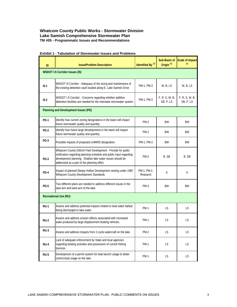| ID          | <b>Issue/Problem Description</b>                                                                                                                                                                                                                 | Identified By <sup>(1)</sup> | Sub-Basin of<br>Origin <sup>(1)</sup> | Scale of Impact<br>(1)      |  |
|-------------|--------------------------------------------------------------------------------------------------------------------------------------------------------------------------------------------------------------------------------------------------|------------------------------|---------------------------------------|-----------------------------|--|
|             | <b>WSDOT I-5 Corridor Issues (I5)</b>                                                                                                                                                                                                            |                              |                                       |                             |  |
| $15-1$      | WSDOT I5 Corridor - Adequacy of the sizing and maintenance of<br>the existing detention vault located along E. Lake Samish Drive                                                                                                                 | PM-1, PM-2                   | W, B, LS                              | W, B, LS                    |  |
| $15-2$      | WSDOT I-5 Corridor - Concerns regarding whether addition<br>detention facilities are needed for the interstate stormwater system.                                                                                                                | PM-1, PM-2                   | F, R, S, W, B,<br>SB, P, LS           | F, R, S, W, B,<br>SB, P, LS |  |
|             | Planning and Development Issues (PD)                                                                                                                                                                                                             |                              |                                       |                             |  |
| PD-1        | Identify how current zoning designations in the basin will impact<br>future stormwater quality and quantity.                                                                                                                                     | $PM-2$                       | BW                                    | BW                          |  |
| PD-2        | Identify how future large developments in the basin will impact<br>future stormwater quality and quantity.                                                                                                                                       | <b>PM-2</b>                  | <b>BW</b>                             | ВW                          |  |
| PD-3        | Possible impacts of proposed LAMIRD designation.                                                                                                                                                                                                 | PM-1, PM-2                   | BW                                    | BW                          |  |
| $PD-3$      | Whatcom County Dittrich Park Development - Provide for public<br>notification regarding planning schedule and public input regarding<br>development planning. Shallow lake water issues should be<br>addressed as a part of the planning effort. | $PM-2$                       | B, SB                                 | B, SB                       |  |
| PD-4        | Impact of planned Sleepy Hollow Development vesting under 1992<br>Whatcom County Development Standards.                                                                                                                                          | PM-1, PM-2,<br>Research      | S                                     | S                           |  |
| <b>PD-5</b> | Two different plans are needed to address different issues in the<br>east arm and west arm of the lake.                                                                                                                                          | $PM-3$                       | <b>BW</b>                             | BW                          |  |
|             | <b>Recreational Use (RU)</b>                                                                                                                                                                                                                     |                              |                                       |                             |  |
| $RU-1$      | Assess and address potential impacts related to boat water ballast<br>being discharged to lake water.                                                                                                                                            | <b>PM-1</b>                  | LS                                    | LS                          |  |
| $RU-2$      | Assess and address erosion effects associated with increased<br>wake produced by large displacement boating vehicles.                                                                                                                            | <b>PM-1</b>                  | <b>LS</b>                             | LS                          |  |
| RU-3        | Assess and address impacts from 2-cycle watercraft on the lake.                                                                                                                                                                                  | $PM-2$                       | LS                                    | LS                          |  |
| RU-4        | Lack of adequate enforcement by State and local agencies<br>regarding boating activities and possession of current fishing<br>licences.                                                                                                          | <b>PM-1</b>                  | LS                                    | LS                          |  |
| RU-5        | Development of a permit system for boat launch usage to better<br>control boat usage on the lake.                                                                                                                                                | PM-1                         | LS.                                   | LS.                         |  |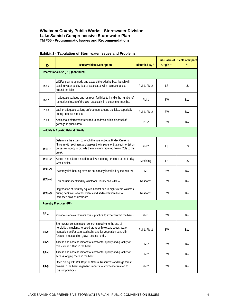| ID          | <b>Issue/Problem Description</b>                                                                                                                                                                                                             | Identified By <sup>(1)</sup> | Sub-Basin of<br>Origin <sup>(1)</sup> | <b>Scale of Impact</b><br>(1) |  |
|-------------|----------------------------------------------------------------------------------------------------------------------------------------------------------------------------------------------------------------------------------------------|------------------------------|---------------------------------------|-------------------------------|--|
|             | Recreational Use (RU) (continued)                                                                                                                                                                                                            |                              |                                       |                               |  |
| <b>RU-6</b> | WDFW plan to upgrade and expand the existing boat launch will<br>existing water quality issues associated with recreational use<br>around the lake.                                                                                          | PM-1, PM-2                   | LS                                    | <b>LS</b>                     |  |
| RU-7        | Inadequate garbage and restroom facilities to handle the number of<br>recreational users of the lake, especially in the summer months.                                                                                                       | <b>PM-1</b>                  | BW                                    | ВW                            |  |
| RU-8        | Lack of adequate parking enforcement around the lake, especially<br>during summer months.                                                                                                                                                    | PM-1, PM-2                   | BW                                    | ВW                            |  |
| <b>RU-9</b> | Additional enforcement required to address public disposal of<br>garbage in public area.                                                                                                                                                     | PP-2                         | BW                                    | BW                            |  |
|             | Wildlife & Aquatic Habitat (WAH)                                                                                                                                                                                                             |                              |                                       |                               |  |
| WAH-1       | Determine the extent to which the lake outlet at Friday Creek is<br>filling in with sediment and assess the impacts of that sedimentation<br>on basin's ability to provide the minimum required flow of 2cfs to the<br>creek.                | <b>PM-2</b>                  | LS                                    | <b>LS</b>                     |  |
| WAH-2       | Assess and address need for a flow metering structure at the Friday<br>Creek outlet.                                                                                                                                                         | Modeling                     | LS.                                   | <b>LS</b>                     |  |
| WAH-3       | Inventory fish-bearing streams not already identified by the WDFW.                                                                                                                                                                           | PM-1                         | BW                                    | BW                            |  |
| WAH-4       | Fish barriers identified by Whatcom County and WDFW.                                                                                                                                                                                         | Research                     | BW                                    | BW                            |  |
| WAH-5       | Degradation of tributary aquatic habitat due to high stream volumes<br>during peak wet weather events and sedimentation due to<br>increased erosion upstream.                                                                                | Research                     | BW                                    | BW                            |  |
|             | <b>Forestry Practices (FP)</b>                                                                                                                                                                                                               |                              |                                       |                               |  |
| <b>FP-1</b> | Provide overview of future forest practice to expect within the basin.                                                                                                                                                                       | <b>PM-1</b>                  | BW                                    | BW                            |  |
| FP-2        | Stormwater contamination concerns relating to the use of<br>herbicides in upland, forested areas with wetland areas, water<br>inundation and/or saturated soils, and for vegetation control in<br>forested areas and on gravel access roads. | PM-1, PM-2                   | BW                                    | BW                            |  |
| FP-3        | Assess and address impact to stormwater quality and quantity of<br>forest clear cutting in the basin.                                                                                                                                        | $PM-2$                       | BW                                    | BW                            |  |
| FP-4        | Assess and address impact to stormwater quality and quantity of<br>access logging roads in the basin.                                                                                                                                        | $PM-2$                       | BW                                    | BW                            |  |
| $FP-5$      | Open dialog with WA Dept. of Natural Resources and large forest<br>owners in the basin regarding impacts to stormwater related to<br>forestry practices.                                                                                     | PM-2                         | BW                                    | BW                            |  |